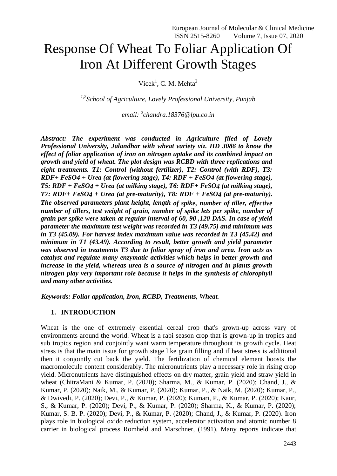# Response Of Wheat To Foliar Application Of Iron At Different Growth Stages

Vicek<sup>1</sup>, C. M. Mehta<sup>2</sup>

*1,2School of Agriculture, Lovely Professional University, Punjab*

*email: <sup>2</sup> [chandra.18376@lpu.co.in](mailto:chandra.18376@lpu.co.in)*

*Abstract: The experiment was conducted in Agriculture filed of Lovely Professional University, Jalandhar with wheat variety viz. HD 3086 to know the effect of foliar application of iron on nitrogen uptake and its combined impact on growth and yield of wheat. The plot design was RCBD with three replications and eight treatments. T1: Control (without fertilizer), T2: Control (with RDF), T3: RDF+ FeSO4 + Urea (at flowering stage), T4: RDF + FeSO4 (at flowering stage), T5: RDF + FeSO4 + Urea (at milking stage), T6: RDF+ FeSO4 (at milking stage), T7: RDF+ FeSO4 + Urea (at pre-maturity), T8: RDF + FeSO4 (at pre-maturity). The observed parameters plant height, length of spike, number of tiller, effective number of tillers, test weight of grain, number of spike lets per spike, number of grain per spike were taken at regular interval of 60, 90 ,120 DAS. In case of yield parameter the maximum test weight was recorded in T3 (49.75) and minimum was in T3 (45.09). For harvest index maximum value was recorded in T3 (45.42) and minimum in T1 (43.49). According to result, better growth and yield parameter was observed in treatments T3 due to foliar spray of iron and urea. Iron acts as catalyst and regulate many enzymatic activities which helps in better growth and increase in the yield, whereas urea is a source of nitrogen and in plants growth nitrogen play very important role because it helps in the synthesis of chlorophyll and many other activities.*

*Keywords: Foliar application, Iron, RCBD, Treatments, Wheat.*

## **1. INTRODUCTION**

Wheat is the one of extremely essential cereal crop that's grown-up across vary of environments around the world. Wheat is a rabi season crop that is grown-up in tropics and sub tropics region and conjointly want warm temperature throughout its growth cycle. Heat stress is that the main issue for growth stage like grain filling and if heat stress is additional then it conjointly cut back the yield. The fertilization of chemical element boosts the macromolecule content considerably. The micronutrients play a necessary role in rising crop yield. Micronutrients have distinguished effects on dry matter, grain yield and straw yield in wheat (ChitraMani & Kumar, P. (2020); Sharma, M., & Kumar, P. (2020); Chand, J., & Kumar, P. (2020); Naik, M., & Kumar, P. (2020); Kumar, P., & Naik, M. (2020); Kumar, P., & Dwivedi, P. (2020); Devi, P., & Kumar, P. (2020); Kumari, P., & Kumar, P. (2020); Kaur, S., & Kumar, P. (2020); Devi, P., & Kumar, P. (2020); Sharma, K., & Kumar, P. (2020); Kumar, S. B. P. (2020); Devi, P., & Kumar, P. (2020); Chand, J., & Kumar, P. (2020). Iron plays role in biological oxido reduction system, accelerator activation and atomic number 8 carrier in biological process Romheld and Marschner, (1991). Many reports indicate that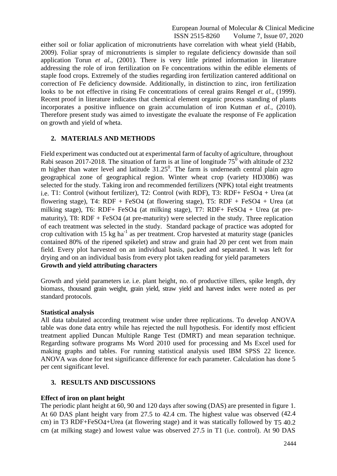either soil or foliar application of micronutrients have correlation with wheat yield (Habib, 2009). Foliar spray of micronutrients is simpler to regulate deficiency downside than soil application Torun *et al.,* (2001). There is very little printed information in literature addressing the role of iron fertilization on Fe concentrations within the edible elements of staple food crops. Extremely of the studies regarding iron fertilization cantered additional on correction of Fe deficiency downside. Additionally, in distinction to zinc, iron fertilization looks to be not effective in rising Fe concentrations of cereal grains Rengel *et al.,* (1999). Recent proof in literature indicates that chemical element organic process standing of plants incorporates a positive influence on grain accumulation of iron Kutman *et al.,* (2010). Therefore present study was aimed to investigate the evaluate the response of Fe application on growth and yield of wheta.

# **2. MATERIALS AND METHODS**

Field experiment was conducted out at experimental farm of faculty of agriculture, throughout Rabi season 2017-2018. The situation of farm is at line of longitude  $75^{\circ}$  with altitude of 232 m higher than water level and latitude  $31.25^{\circ}$ . The farm is underneath central plain agro geographical zone of geographical region. Winter wheat crop (variety HD3086) was selected for the study. Taking iron and recommended fertilizers (NPK) total eight treatments i.e. T1: Control (without fertilizer), T2: Control (with RDF), T3: RDF+ FeSO4 + Urea (at flowering stage), T4:  $RDF + FeSO4$  (at flowering stage), T5:  $RDF + FeSO4 + Urea$  (at milking stage), T6: RDF+ FeSO4 (at milking stage), T7: RDF+ FeSO4 + Urea (at prematurity), T8: RDF + FeSO4 (at pre-maturity) were selected in the study. Three replication of each treatment was selected in the study. Standard package of practice was adopted for crop cultivation with 15  $kg$  ha<sup>-1</sup> as per treatment. Crop harvested at maturity stage (panicles contained 80% of the ripened spikelet) and straw and grain had 20 per cent wet from main field. Every plot harvested on an individual basis, packed and separated. It was left for drying and on an individual basis from every plot taken reading for yield parameters **Growth and yield attributing characters**

Growth and yield parameters i.e. i.e. plant height, no. of productive tillers, spike length, dry biomass, thousand grain weight, grain yield, straw yield and harvest index were noted as per standard protocols.

## **Statistical analysis**

All data tabulated according treatment wise under three replications. To develop ANOVA table was done data entry while has rejected the null hypothesis. For identify most efficient treatment applied Duncan Multiple Range Test (DMRT) and mean separation technique. Regarding software programs Ms Word 2010 used for processing and Ms Excel used for making graphs and tables. For running statistical analysis used IBM SPSS 22 licence. ANOVA was done for test significance difference for each parameter. Calculation has done 5 per cent significant level.

## **3. RESULTS AND DISCUSSIONS**

## **Effect of iron on plant height**

The periodic plant height at 60, 90 and 120 days after sowing (DAS) are presented in figure 1. At 60 DAS plant height vary from 27.5 to 42.4 cm. The highest value was observed (42.4 cm) in T3 RDF+FeSO4+Urea (at flowering stage) and it was statically followed by T5 40.2 cm (at milking stage) and lowest value was observed 27.5 in T1 (i.e. control). At 90 DAS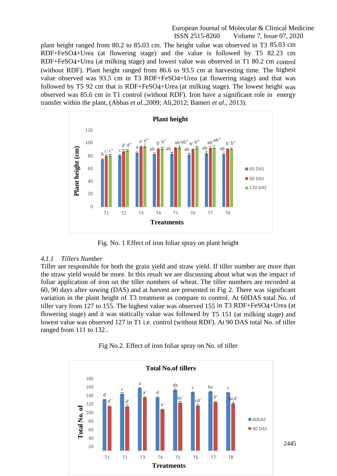plant height ranged from 80.2 to 85.03 cm. The height value was observed in T3 85.03 cm RDF+FeSO4+Urea (at flowering stage) and the value is followed by T5 82.23 cm RDF+FeSO4+Urea (at milking stage) and lowest value was observed in T1 80.2 cm control (without RDF). Plant height ranged from 86.6 to 93.5 cm at harvesting time. The highest value observed was 93.5 cm in T3 RDF+FeSO4+Urea (at flowering stage) and that was followed by T5 92 cm that is RDF+FeSO4+Urea (at milking stage). The lowest height was observed was 85.6 cm in T1 control (without RDF). Iron have a significant role in energy transfer within the plant, (Abbas *et al.,*2009; Ali,2012; Bameri *et al.,* 2013).



Fig. No. 1 Effect of iron foliar spray on plant height

#### *4.1.1 Tillers Number*

Tiller are responsible for both the grain yield and straw yield. If tiller number are more than the straw yield would be more. In this result we are discussing about what was the impact of foliar application of iron on the tiller numbers of wheat. The tiller numbers are recorded at 60, 90 days after sowing (DAS) and at harvest are presented in Fig 2. There was significant variation in the plant height of T3 treatment as compare to control. At 60DAS total No. of tiller vary from 127 to 155. The highest value was observed 155 in T3 RDF+FeSO4+Urea (at flowering stage) and it was statically value was followed by T5 151 (at milking stage) and lowest value was observed 127 in T1 i.e. control (without RDF). At 90 DAS total No. of tiller ranged from 111 to 132..



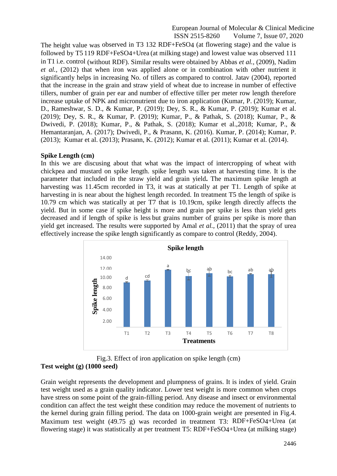The height value was observed in T3 132 RDF+FeSO4 (at flowering stage) and the value is followed by T5 119 RDF+FeSO4+Urea (at milking stage) and lowest value was observed 111 in T1 i.e. control (without RDF). Similar results were obtained by Abbas *et al.,* (2009), Nadim *et al.,* (2012) that when iron was applied alone or in combination with other nutrient it significantly helps in increasing No. of tillers as compared to control. Jatav (2004), reported that the increase in the grain and straw yield of wheat due to increase in number of effective tillers, number of grain per ear and number of effective tiller per meter row length therefore increase uptake of NPK and micronutrient due to iron application (Kumar, P. (2019); Kumar, D., Rameshwar, S. D., & Kumar, P. (2019); Dey, S. R., & Kumar, P. (2019); Kumar et al. (2019); Dey, S. R., & Kumar, P. (2019); Kumar, P., & Pathak, S. (2018); Kumar, P., & Dwivedi, P. (2018); Kumar, P., & Pathak, S. (2018); Kumar et al.,2018; Kumar, P., & Hemantaranjan, A. (2017); Dwivedi, P., & Prasann, K. (2016). Kumar, P. (2014); Kumar, P. (2013); Kumar et al. (2013); Prasann, K. (2012); Kumar et al. (2011); Kumar et al. (2014).

#### **Spike Length (cm)**

In this we are discusing about that what was the impact of intercropping of wheat with chickpea and mustard on spike length. spike length was taken at harvesting time. It is the parameter that included in the straw yield and grain yield**.** The maximum spike length at harvesting was 11.45cm recorded in T3, it was at statically at per T1. Length of spike at harvesting in is near about the highest length recorded. In treatment T5 the length of spike is 10.79 cm which was statically at per T7 that is 10.19cm, spike length directly affects the yield. But in some case if spike height is more and grain per spike is less than yield gets decreased and if length of spike is less but grains number of grains per spike is more than yield get increased. The results were supported by Amal *et al.,* (2011) that the spray of urea effectively increase the spike length significantly as compare to control (Reddy, 2004).



Fig.3. Effect of iron application on spike length (cm) **Test weight (g) (1000 seed)**

Grain weight represents the development and plumpness of grains. It is index of yield. Grain test weight used as a grain quality indicator. Lower test weight is more common when crops have stress on some point of the grain-filling period. Any disease and insect or environmental condition can affect the test weight these condition may reduce the movement of nutrients to the kernel during grain filling period. The data on 1000-grain weight are presented in Fig.4. Maximum test weight (49.75 g) was recorded in treatment T3: RDF+FeSO4+Urea (at flowering stage) it was statistically at per treatment T5: RDF+FeSO4+Urea (at milking stage)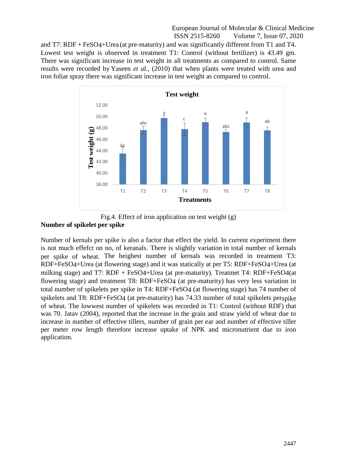and T7: RDF + FeSO4+Urea (at pre-maturity) and was significantly different from T1 and T4. Lowest test weight is observed in treatment T1: Control (without fertilizer) is 43.49 gm. There was significant increase in test weight in all treatments as compared to control. Same results were recorded by Yaseen *et al.,* (2010) that when plants were treated with urea and iron foliar spray there was significant increase in test weight as compared to control.



Fig.4. Effect of iron application on test weight (g) **Number of spikelet per spike**

Number of kernals per spike is also a factor that effect the yield. In current experiment there is not much effefct on no, of keranals. There is slightly variation in total number of kernals per spike of wheat. The heighest number of kernals was recorded in treatment T3: RDF+FeSO4+Urea (at flowering stage) and it was statically at per T5: RDF+FeSO4+Urea (at milking stage) and T7: RDF + FeSO4+Urea (at pre-maturity). Treatmet T4: RDF+FeSO4(at flowering stage) and treatment T8: RDF+FeSO4 (at pre-maturity) has very less variation in total number of spikelets per spike in T4: RDF+FeSO4 (at flowering stage) has 74 number of spikelets and T8: RDF+FeSO4 (at pre-maturity) has 74.33 number of total spikelets perspike of wheat. The lowwest number of spikelets was recorded in T1: Control (without RDF) that was 70. Jatav (2004), reported that the increase in the grain and straw yield of wheat due to increase in number of effective tillers, number of grain per ear and number of effective tiller per meter row length therefore increase uptake of NPK and micronutrient due to iron application.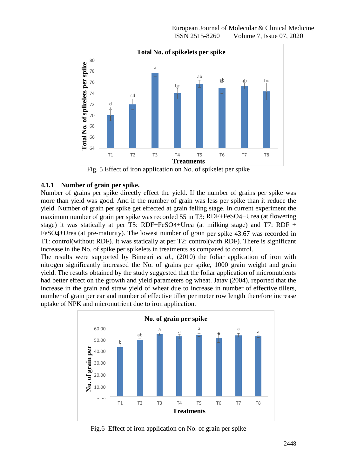

Fig. 5 Effect of iron application on No. of spikelet per spike

# **4.1.1 Number of grain per spike.**

Number of grains per spike directly effect the yield. If the number of grains per spike was more than yield was good. And if the number of grain was less per spike than it reduce the yield. Number of grain per spike get effected at grain felling stage. In current experiment the maximum number of grain per spike was recorded 55 in T3: RDF+FeSO4+Urea (at flowering stage) it was statically at per T5: RDF+FeSO4+Urea (at milking stage) and T7: RDF + FeSO4+Urea (at pre-maturity). The lowest number of grain per spike 43.67 was recorded in T1: control(without RDF). It was statically at per T2: control(with RDF). There is significant increase in the No. of spike per spikelets in treatments as compared to control.

The results were supported by Bimeari *et al.,* (2010) the foliar application of iron with nitrogen significantly increased the No. of grains per spike, 1000 grain weight and grain yield. The results obtained by the study suggested that the foliar application of micronutrients had better effect on the growth and yield parameters og wheat. Jatav (2004), reported that the increase in the grain and straw yield of wheat due to increase in number of effective tillers, number of grain per ear and number of effective tiller per meter row length therefore increase uptake of NPK and micronutrient due to iron application.



Fig.6 Effect of iron application on No. of grain per spike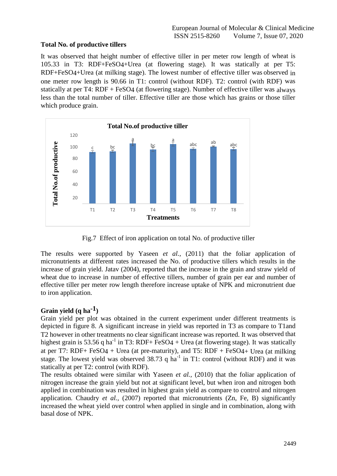# **Total No. of productive tillers**

It was observed that height number of effective tiller in per meter row length of wheat is 105.33 in T3: RDF+FeSO4+Urea (at flowering stage). It was statically at per T5: RDF+FeSO4+Urea (at milking stage). The lowest number of effective tiller was observed in one meter row length is 90.66 in T1: control (without RDF). T2: control (with RDF) was statically at per T4: RDF + FeSO4 (at flowering stage). Number of effective tiller was always less than the total number of tiller. Effective tiller are those which has grains or those tiller which produce grain.



Fig.7 Effect of iron application on total No. of productive tiller

The results were supported by Yaseen *et al.,* (2011) that the foliar application of micronutrients at different rates increased the No. of productive tillers which results in the increase of grain yield. Jatav (2004), reported that the increase in the grain and straw yield of wheat due to increase in number of effective tillers, number of grain per ear and number of effective tiller per meter row length therefore increase uptake of NPK and micronutrient due to iron application.

# **Grain yield (q ha-1)**

Grain yield per plot was obtained in the current experiment under different treatments is depicted in figure 8. A significant increase in yield was reported in T3 as compare to T1and T2 however in other treatments no clear significant increase was reported. It was observed that highest grain is 53.56 q ha<sup>-1</sup> in T3: RDF+ FeSO4 + Urea (at flowering stage). It was statically at per T7: RDF+ FeSO4 + Urea (at pre-maturity), and T5: RDF + FeSO4+ Urea (at milking stage. The lowest yield was observed 38.73 q ha<sup>-1</sup> in T1: control (without RDF) and it was statically at per T2: control (with RDF).

The results obtained were similar with Yaseen *et al.,* (2010) that the foliar application of nitrogen increase the grain yield but not at significant level, but when iron and nitrogen both applied in combination was resulted in highest grain yield as compare to control and nitrogen application. Chaudry *et al.,* (2007) reported that micronutrients (Zn, Fe, B) significantly increased the wheat yield over control when applied in single and in combination, along with basal dose of NPK.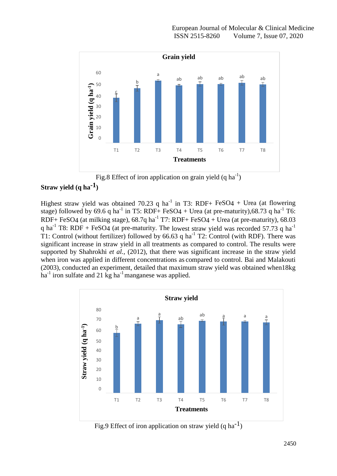

Fig.8 Effect of iron application on grain yield  $(q ha^{-1})$ 

# **Straw yield (q ha-1)**

Highest straw yield was obtained 70.23 q ha<sup>-1</sup> in T3: RDF+ FeSO4 + Urea (at flowering stage) followed by 69.6 q ha<sup>-1</sup> in T5: RDF+ FeSO4 + Urea (at pre-maturity), 68.73 q ha<sup>-1</sup> T6: RDF+ FeSO4 (at milking stage),  $68.7q$  ha<sup>-1</sup> T7: RDF+ FeSO4 + Urea (at pre-maturity),  $68.03$ q ha<sup>-1</sup> T8: RDF + FeSO4 (at pre-maturity. The lowest straw yield was recorded 57.73 q ha<sup>-1</sup> T1: Control (without fertilizer) followed by 66.63 q ha<sup>-1</sup> T2: Control (with RDF). There was significant increase in straw yield in all treatments as compared to control. The results were supported by Shahrokhi *et al.*, (2012), that there was significant increase in the straw yield when iron was applied in different concentrations as compared to control. Bai and Malakouti (2003), conducted an experiment, detailed that maximum straw yield was obtained when18kg ha<sup>-1</sup> iron sulfate and 21 kg ha<sup>-1</sup> manganese was applied.



Fig.9 Effect of iron application on straw yield  $(q \, ha^{-1})$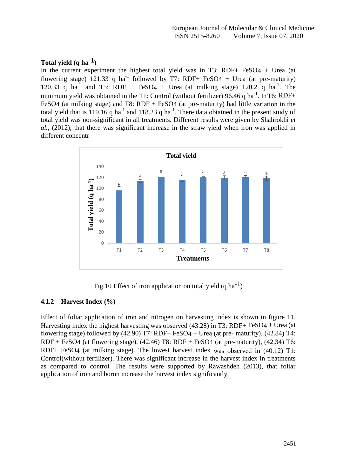# **Total yield (q ha-1)**

In the current experiment the highest total yield was in T3: RDF+ FeSO4 + Urea (at flowering stage) 121.33 q ha<sup>-1</sup> followed by T7: RDF+ FeSO4 + Urea (at pre-maturity) 120.33 q ha<sup>-1</sup> and T5: RDF + FeSO4 + Urea (at milking stage) 120.2 q ha<sup>-1</sup>. The minimum yield was obtained in the T1: Control (without fertilizer) 96.46 q ha<sup>-1</sup>. In T6: RDF+ FeSO4 (at milking stage) and T8: RDF + FeSO4 (at pre-maturity) had little variation in the total yield that is 119.16 q ha<sup>-1</sup> and 118.23 q ha<sup>-1</sup>. There data obtained in the present study of total yield was non-significant in all treatments. Different results were given by Shahrokhi *et al.,* (2012), that there was significant increase in the straw yield when iron was applied in different concentr



Fig.10 Effect of iron application on total yield  $(q \, ha^{-1})$ 

## **4.1.2 Harvest Index (%)**

Effect of foliar application of iron and nitrogen on harvesting index is shown in figure 11. Harvesting index the highest harvesting was observed (43.28) in T3: RDF+ FeSO4 + Urea (at flowering stage) followed by  $(42.90)$  T7: RDF+ FeSO4 + Urea (at pre- maturity),  $(42.84)$  T4: RDF + FeSO4 (at flowering stage), (42.46) T8: RDF + FeSO4 (at pre-maturity), (42.34) T6: RDF+ FeSO4 (at milking stage). The lowest harvest index was observed in (40.12) T1: Control(without fertilizer). There was significant increase in the harvest index in treatments as compared to control. The results were supported by Rawashdeh (2013), that foliar application of iron and boron increase the harvest index significantly.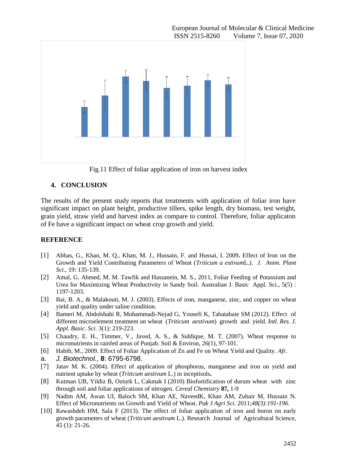

Fig.11 Effect of foliar application of iron on harvest index

# **4. CONCLUSION**

The results of the present study reports that treatments with application of foliar iron have significant impact on plant height, productive tillers, spike length, dry biomass, test weight, grain yield, straw yield and harvest index as compare to control. Therefore, foliar applicaton of Fe have a significant impact on wheat crop growth and yield.

# **REFERENCE**

- [1] Abbas, G., Khan, M. Q., Khan, M. J., Hussain, F. and Hussai, I. 2009**.** Effect of Iron on the Growth and Yield Contributing Parameters of Wheat (*Triticum a estivum*L.). *J. Anim. Plant Sci.,* 19: 135-139.
- [2] Amal, G. Ahmed, M. M. Tawfik and Hassanein, M. S., 2011, Foliar Feeding of Potassium and Urea for Maximizing Wheat Productivity in Sandy Soil. Australian J. Basic Appl. Sci., 5(5) : 1197-1203.
- [3] Bai, B. A., & Malakouti, M. J. (2003). Effects of iron, manganese, zinc, and copper on wheat yield and quality under saline condition.
- [4] Bameri M, Abdolshahi R, Mohammadi-Nejad G, Yousefi K, Tabatabaie SM (2012). Effect of different microelement treatment on wheat (*Triticum aestivum*) growth and yield. *Intl. Res. J. Appl. Basic. Sci*. 3(1): 219-223.
- [5] Chaudry, E. H., Timmer, V., Javed, A. S., & Siddique, M. T. (2007). Wheat response to micronutrients in rainfed areas of Punjab. Soil & Environ, 26(1), 97-101.
- [6] Habib, M., 2009. Effect of Foliar Application of Zn and Fe on Wheat Yield and Quality. *Afr.*
- a. *J, Biotechnol.,* **8**: 6795-6798.
- [7] Jatav M. K. (2004). Effect of application of phosphorus, manganese and iron on yield and nutrient uptake by wheat (*Triticum aestivum* L.) in inceptisols**.**
- [8] Kutman UB, Yildiz B, Ozturk L, Cakmak I (2010) Biofortification of durum wheat with zinc through soil and foliar applications of nitrogen. *Cereal Chemistry* **87,** 1-9
- [9] Nadim AM, Awan UI, Baloch SM, Khan AE, NaveedK, Khan AM, Zubair M, Hussain N. Effect of Micronutrients on Growth and Yield of Wheat. *Pak J Agri Sci.* 2011;*48(3):191-196.*
- [10] Rawashdeh HM, Sala F (2013). The effect of foliar application of iron and boron on early growth parameters of wheat (*Triticum aestivum* L.). Research Journal of Agricultural Science, 45 (1): 21-26.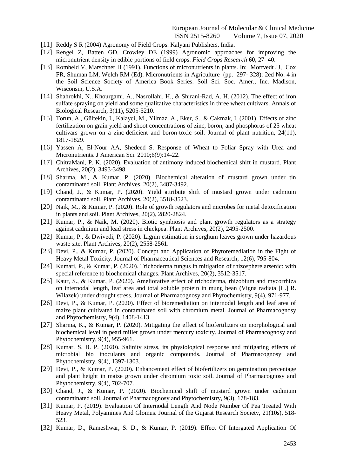- [11] Reddy S R (2004) Agronomy of Field Crops. Kalyani Publishers, India.
- [12] Rengel Z, Batten GD, Crowley DE (1999) Agronomic approaches for improving the micronutrient density in edible portions of field crops. *Field Crops Research* **60,** 27- 40.
- [13] Romheld V, Marschner H (1991). Functions of micronutrients in plants. In: Mortvedt JJ, Cox FR, Shuman LM, Welch RM (Ed). Micronutrients in Agriculture (pp. 297- 328): 2ed No. 4 in the Soil Science Society of America Book Series. Soil Sci. Soc. Amer., Inc. Madison, Wisconsin, U.S.A.
- [14] Shahrokhi, N., Khourgami, A., Nasrollahi, H., & Shirani-Rad, A. H. (2012). The effect of iron sulfate spraying on yield and some qualitative characteristics in three wheat cultivars. Annals of Biological Research, 3(11), 5205-5210.
- [15] Torun, A., Gültekin, I., Kalayci, M., Yilmaz, A., Eker, S., & Cakmak, I. (2001). Effects of zinc fertilization on grain yield and shoot concentrations of zinc, boron, and phosphorus of 25 wheat cultivars grown on a zinc-deficient and boron-toxic soil. Journal of plant nutrition, 24(11), 1817-1829.
- [16] Yassen A, El-Nour AA, Shedeed S. Response of Wheat to Foliar Spray with Urea and Micronutrients. J American Sci. 2010;6(9):14-22.
- [17] ChitraMani, P. K. (2020). Evaluation of antimony induced biochemical shift in mustard. Plant Archives, 20(2), 3493-3498.
- [18] Sharma, M., & Kumar, P. (2020). Biochemical alteration of mustard grown under tin contaminated soil. Plant Archives, 20(2), 3487-3492.
- [19] Chand, J., & Kumar, P. (2020). Yield attribute shift of mustard grown under cadmium contaminated soil. Plant Archives, 20(2), 3518-3523.
- [20] Naik, M., & Kumar, P. (2020). Role of growth regulators and microbes for metal detoxification in plants and soil. Plant Archives, 20(2), 2820-2824.
- [21] Kumar, P., & Naik, M. (2020). Biotic symbiosis and plant growth regulators as a strategy against cadmium and lead stress in chickpea. Plant Archives, 20(2), 2495-2500.
- [22] Kumar, P., & Dwivedi, P. (2020). Lignin estimation in sorghum leaves grown under hazardous waste site. Plant Archives, 20(2), 2558-2561.
- [23] Devi, P., & Kumar, P. (2020). Concept and Application of Phytoremediation in the Fight of Heavy Metal Toxicity. Journal of Pharmaceutical Sciences and Research, 12(6), 795-804.
- [24] Kumari, P., & Kumar, P. (2020). Trichoderma fungus in mitigation of rhizosphere arsenic: with special reference to biochemical changes. Plant Archives, 20(2), 3512-3517.
- [25] Kaur, S., & Kumar, P. (2020). Ameliorative effect of trichoderma, rhizobium and mycorrhiza on internodal length, leaf area and total soluble protein in mung bean (Vigna radiata [L.] R. Wilazek) under drought stress. Journal of Pharmacognosy and Phytochemistry, 9(4), 971-977.
- [26] Devi, P., & Kumar, P. (2020). Effect of bioremediation on internodal length and leaf area of maize plant cultivated in contaminated soil with chromium metal. Journal of Pharmacognosy and Phytochemistry, 9(4), 1408-1413.
- [27] Sharma, K., & Kumar, P. (2020). Mitigating the effect of biofertilizers on morphological and biochemical level in pearl millet grown under mercury toxicity. Journal of Pharmacognosy and Phytochemistry, 9(4), 955-961.
- [28] Kumar, S. B. P. (2020). Salinity stress, its physiological response and mitigating effects of microbial bio inoculants and organic compounds. Journal of Pharmacognosy and Phytochemistry, 9(4), 1397-1303.
- [29] Devi, P., & Kumar, P. (2020). Enhancement effect of biofertilizers on germination percentage and plant height in maize grown under chromium toxic soil. Journal of Pharmacognosy and Phytochemistry, 9(4), 702-707.
- [30] Chand, J., & Kumar, P. (2020). Biochemical shift of mustard grown under cadmium contaminated soil. Journal of Pharmacognosy and Phytochemistry, 9(3), 178-183.
- [31] Kumar, P. (2019). Evaluation Of Internodal Length And Node Number Of Pea Treated With Heavy Metal, Polyamines And Glomus. Journal of the Gujarat Research Society, 21(10s), 518- 523.
- [32] Kumar, D., Rameshwar, S. D., & Kumar, P. (2019). Effect Of Intergated Application Of